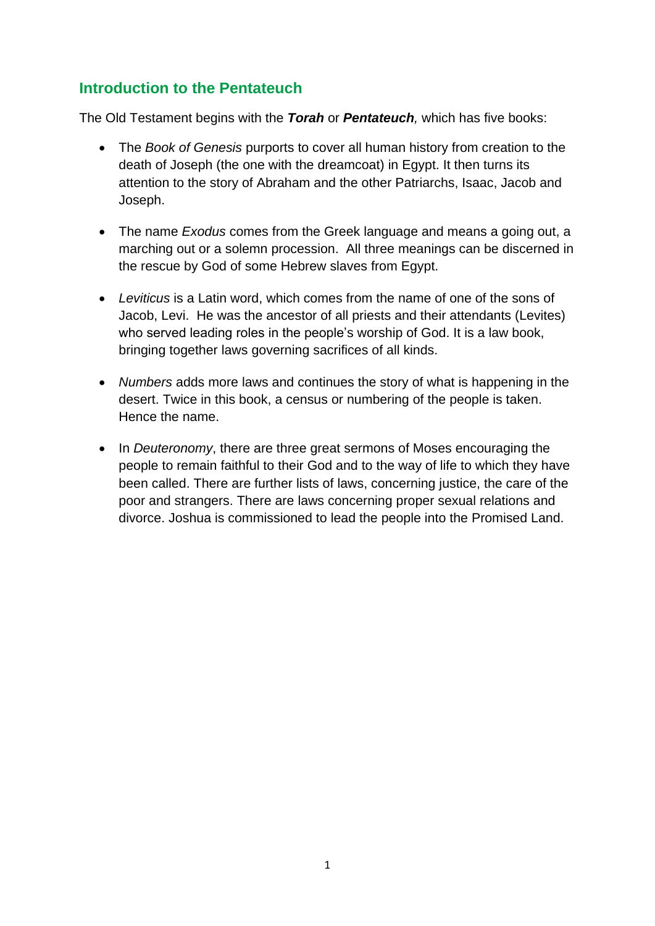# **Introduction to the Pentateuch**

The Old Testament begins with the *Torah* or *Pentateuch,* which has five books:

- The *Book of Genesis* purports to cover all human history from creation to the death of Joseph (the one with the dreamcoat) in Egypt. It then turns its attention to the story of Abraham and the other Patriarchs, Isaac, Jacob and Joseph.
- The name *Exodus* comes from the Greek language and means a going out, a marching out or a solemn procession. All three meanings can be discerned in the rescue by God of some Hebrew slaves from Egypt.
- *Leviticus* is a Latin word, which comes from the name of one of the sons of Jacob, Levi. He was the ancestor of all priests and their attendants (Levites) who served leading roles in the people's worship of God. It is a law book, bringing together laws governing sacrifices of all kinds.
- *Numbers* adds more laws and continues the story of what is happening in the desert. Twice in this book, a census or numbering of the people is taken. Hence the name.
- In *Deuteronomy*, there are three great sermons of Moses encouraging the people to remain faithful to their God and to the way of life to which they have been called. There are further lists of laws, concerning justice, the care of the poor and strangers. There are laws concerning proper sexual relations and divorce. Joshua is commissioned to lead the people into the Promised Land.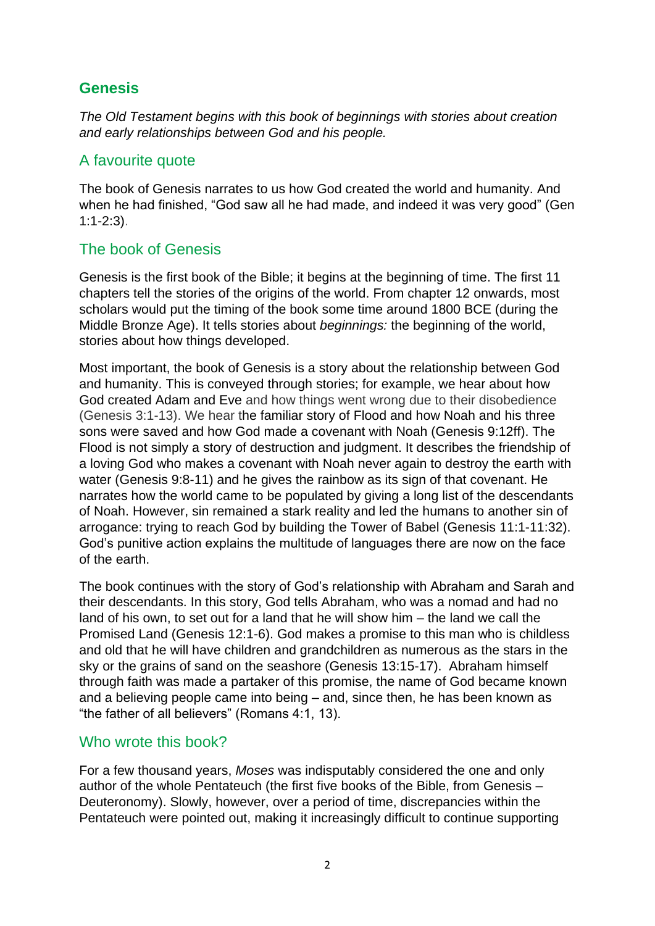# **Genesis**

*The Old Testament begins with this book of beginnings with stories about creation and early relationships between God and his people.*

# A favourite quote

The book of Genesis narrates to us how God created the world and humanity. And when he had finished, "God saw all he had made, and indeed it was very good" (Gen 1:1-2:3).

## The book of Genesis

Genesis is the first book of the Bible; it begins at the beginning of time. The first 11 chapters tell the stories of the origins of the world. From chapter 12 onwards, most scholars would put the timing of the book some time around 1800 BCE (during the Middle Bronze Age). It tells stories about *beginnings:* the beginning of the world, stories about how things developed.

Most important, the book of Genesis is a story about the relationship between God and humanity. This is conveyed through stories; for example, we hear about how God created Adam and Eve and how things went wrong due to their disobedience (Genesis 3:1-13). We hear the familiar story of Flood and how Noah and his three sons were saved and how God made a covenant with Noah (Genesis 9:12ff). The Flood is not simply a story of destruction and judgment. It describes the friendship of a loving God who makes a covenant with Noah never again to destroy the earth with water (Genesis 9:8-11) and he gives the rainbow as its sign of that covenant. He narrates how the world came to be populated by giving a long list of the descendants of Noah. However, sin remained a stark reality and led the humans to another sin of arrogance: trying to reach God by building the Tower of Babel (Genesis 11:1-11:32). God's punitive action explains the multitude of languages there are now on the face of the earth.

The book continues with the story of God's relationship with Abraham and Sarah and their descendants. In this story, God tells Abraham, who was a nomad and had no land of his own, to set out for a land that he will show him – the land we call the Promised Land (Genesis 12:1-6). God makes a promise to this man who is childless and old that he will have children and grandchildren as numerous as the stars in the sky or the grains of sand on the seashore (Genesis 13:15-17). Abraham himself through faith was made a partaker of this promise, the name of God became known and a believing people came into being – and, since then, he has been known as "the father of all believers" (Romans 4:1, 13).

### Who wrote this book?

For a few thousand years, *Moses* was indisputably considered the one and only author of the whole Pentateuch (the first five books of the Bible, from Genesis – Deuteronomy). Slowly, however, over a period of time, discrepancies within the Pentateuch were pointed out, making it increasingly difficult to continue supporting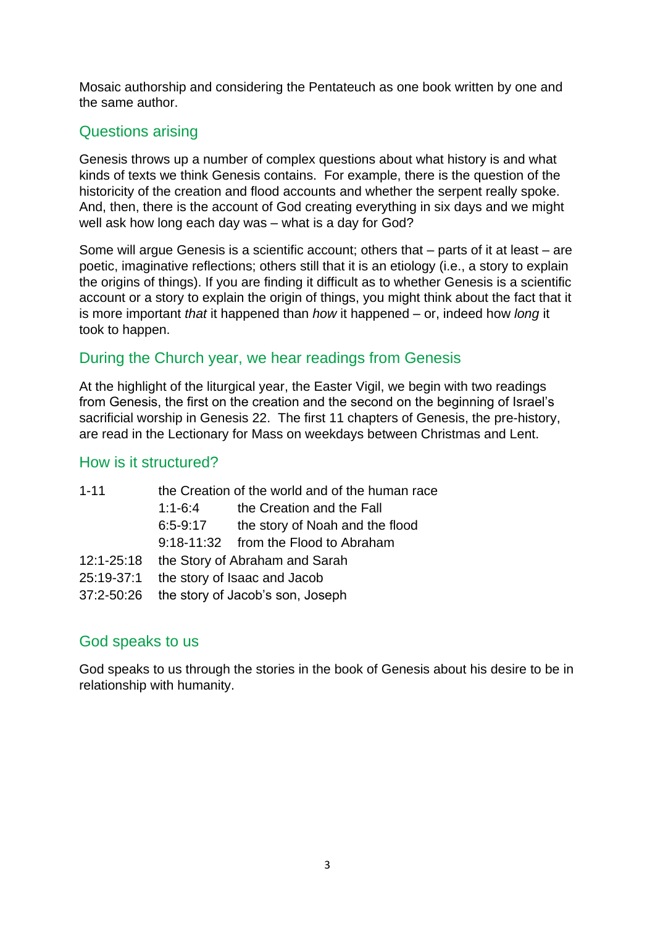Mosaic authorship and considering the Pentateuch as one book written by one and the same author.

# Questions arising

Genesis throws up a number of complex questions about what history is and what kinds of texts we think Genesis contains. For example, there is the question of the historicity of the creation and flood accounts and whether the serpent really spoke. And, then, there is the account of God creating everything in six days and we might well ask how long each day was – what is a day for God?

Some will argue Genesis is a scientific account; others that – parts of it at least – are poetic, imaginative reflections; others still that it is an etiology (i.e., a story to explain the origins of things). If you are finding it difficult as to whether Genesis is a scientific account or a story to explain the origin of things, you might think about the fact that it is more important *that* it happened than *how* it happened – or, indeed how *long* it took to happen.

# During the Church year, we hear readings from Genesis

At the highlight of the liturgical year, the Easter Vigil, we begin with two readings from Genesis, the first on the creation and the second on the beginning of Israel's sacrificial worship in Genesis 22. The first 11 chapters of Genesis, the pre-history, are read in the Lectionary for Mass on weekdays between Christmas and Lent.

### How is it structured?

| $1 - 11$       | the Creation of the world and of the human race |                                      |  |
|----------------|-------------------------------------------------|--------------------------------------|--|
|                | $1:1-6:4$                                       | the Creation and the Fall            |  |
|                | $6:5-9:17$                                      | the story of Noah and the flood      |  |
|                |                                                 | 9:18-11:32 from the Flood to Abraham |  |
| $12:1 - 25:18$ |                                                 | the Story of Abraham and Sarah       |  |
| 25:19-37:1     |                                                 | the story of Isaac and Jacob         |  |
| 37:2-50:26     |                                                 | the story of Jacob's son, Joseph     |  |

# God speaks to us

God speaks to us through the stories in the book of Genesis about his desire to be in relationship with humanity.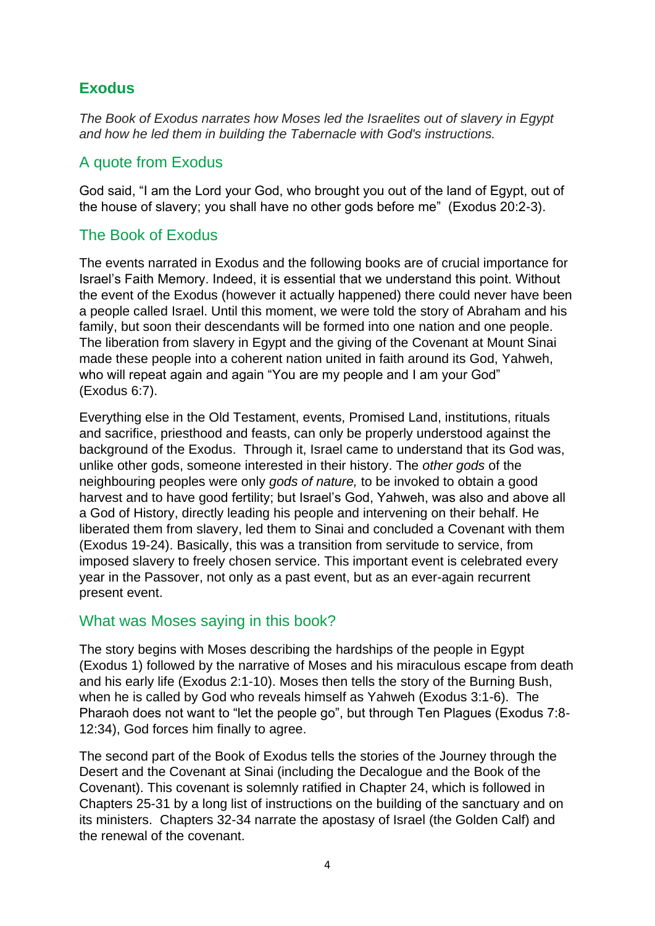# **Exodus**

*The Book of Exodus narrates how Moses led the Israelites out of slavery in Egypt and how he led them in building the Tabernacle with God's instructions.*

# A quote from Exodus

God said, "I am the Lord your God, who brought you out of the land of Egypt, out of the house of slavery; you shall have no other gods before me" (Exodus 20:2-3).

## The Book of Exodus

The events narrated in Exodus and the following books are of crucial importance for Israel's Faith Memory. Indeed, it is essential that we understand this point. Without the event of the Exodus (however it actually happened) there could never have been a people called Israel. Until this moment, we were told the story of Abraham and his family, but soon their descendants will be formed into one nation and one people. The liberation from slavery in Egypt and the giving of the Covenant at Mount Sinai made these people into a coherent nation united in faith around its God, Yahweh, who will repeat again and again "You are my people and I am your God" (Exodus 6:7).

Everything else in the Old Testament, events, Promised Land, institutions, rituals and sacrifice, priesthood and feasts, can only be properly understood against the background of the Exodus. Through it, Israel came to understand that its God was, unlike other gods, someone interested in their history. The *other gods* of the neighbouring peoples were only *gods of nature,* to be invoked to obtain a good harvest and to have good fertility; but Israel's God, Yahweh, was also and above all a God of History, directly leading his people and intervening on their behalf. He liberated them from slavery, led them to Sinai and concluded a Covenant with them (Exodus 19-24). Basically, this was a transition from servitude to service, from imposed slavery to freely chosen service. This important event is celebrated every year in the Passover, not only as a past event, but as an ever-again recurrent present event.

### What was Moses saying in this book?

The story begins with Moses describing the hardships of the people in Egypt (Exodus 1) followed by the narrative of Moses and his miraculous escape from death and his early life (Exodus 2:1-10). Moses then tells the story of the Burning Bush, when he is called by God who reveals himself as Yahweh (Exodus 3:1-6). The Pharaoh does not want to "let the people go", but through Ten Plagues (Exodus 7:8- 12:34), God forces him finally to agree.

The second part of the Book of Exodus tells the stories of the Journey through the Desert and the Covenant at Sinai (including the Decalogue and the Book of the Covenant). This covenant is solemnly ratified in Chapter 24, which is followed in Chapters 25-31 by a long list of instructions on the building of the sanctuary and on its ministers. Chapters 32-34 narrate the apostasy of Israel (the Golden Calf) and the renewal of the covenant.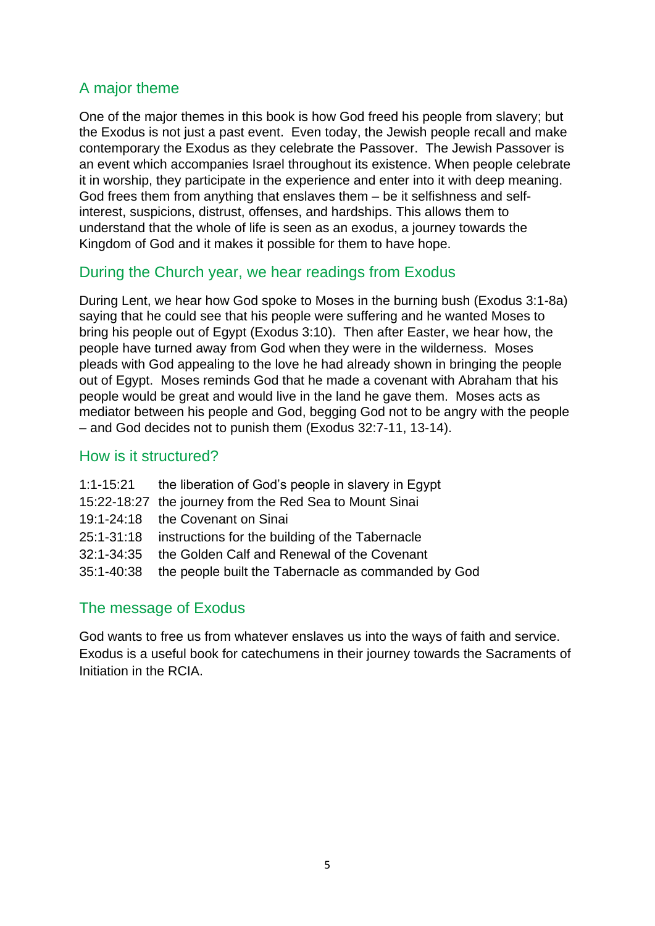# A major theme

One of the major themes in this book is how God freed his people from slavery; but the Exodus is not just a past event. Even today, the Jewish people recall and make contemporary the Exodus as they celebrate the Passover. The Jewish Passover is an event which accompanies Israel throughout its existence. When people celebrate it in worship, they participate in the experience and enter into it with deep meaning. God frees them from anything that enslaves them – be it selfishness and selfinterest, suspicions, distrust, offenses, and hardships. This allows them to understand that the whole of life is seen as an exodus, a journey towards the Kingdom of God and it makes it possible for them to have hope.

## During the Church year, we hear readings from Exodus

During Lent, we hear how God spoke to Moses in the burning bush (Exodus 3:1-8a) saying that he could see that his people were suffering and he wanted Moses to bring his people out of Egypt (Exodus 3:10). Then after Easter, we hear how, the people have turned away from God when they were in the wilderness. Moses pleads with God appealing to the love he had already shown in bringing the people out of Egypt. Moses reminds God that he made a covenant with Abraham that his people would be great and would live in the land he gave them. Moses acts as mediator between his people and God, begging God not to be angry with the people – and God decides not to punish them (Exodus 32:7-11, 13-14).

### How is it structured?

|            | 1:1-15:21 the liberation of God's people in slavery in Egypt   |
|------------|----------------------------------------------------------------|
|            | 15:22-18:27 the journey from the Red Sea to Mount Sinai        |
|            | 19:1-24:18 the Covenant on Sinai                               |
|            | 25:1-31:18 instructions for the building of the Tabernacle     |
| 32:1-34:35 | the Golden Calf and Renewal of the Covenant                    |
|            | 35:1-40:38 the people built the Tabernacle as commanded by God |
|            |                                                                |

# The message of Exodus

God wants to free us from whatever enslaves us into the ways of faith and service. Exodus is a useful book for catechumens in their journey towards the Sacraments of Initiation in the RCIA.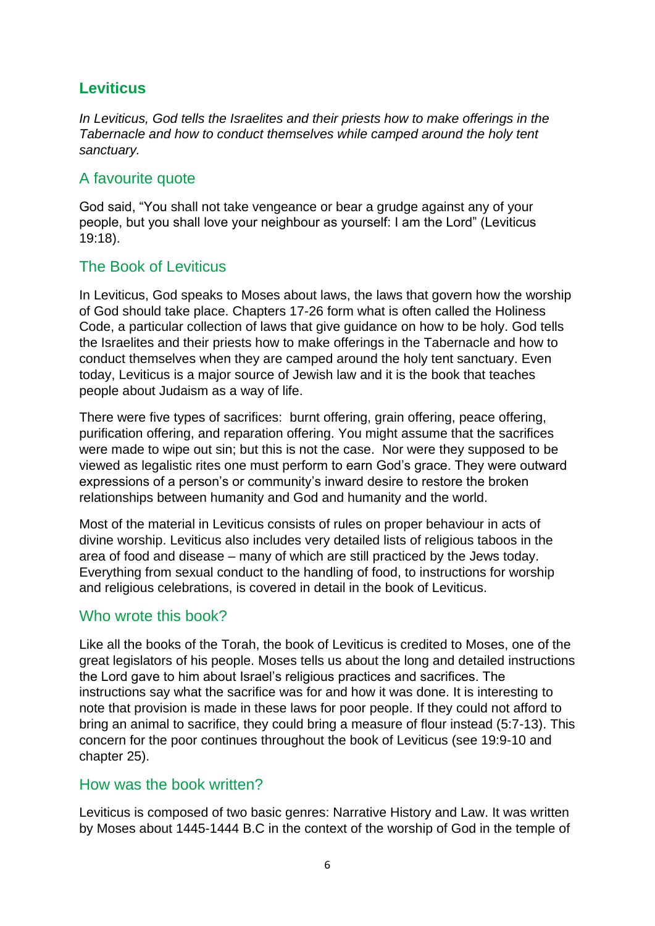# **Leviticus**

*In Leviticus, God tells the Israelites and their priests how to make offerings in the Tabernacle and how to conduct themselves while camped around the holy tent sanctuary.* 

### A favourite quote

God said, "You shall not take vengeance or bear a grudge against any of your people, but you shall love your neighbour as yourself: I am the Lord" (Leviticus 19:18).

## The Book of Leviticus

In Leviticus, God speaks to Moses about laws, the laws that govern how the worship of God should take place. Chapters 17-26 form what is often called the Holiness Code, a particular collection of laws that give guidance on how to be holy. God tells the Israelites and their priests how to make offerings in the Tabernacle and how to conduct themselves when they are camped around the holy tent sanctuary. Even today, Leviticus is a major source of Jewish law and it is the book that teaches people about Judaism as a way of life.

There were five types of sacrifices: burnt offering, grain offering, peace offering, purification offering, and reparation offering. You might assume that the sacrifices were made to wipe out sin; but this is not the case. Nor were they supposed to be viewed as legalistic rites one must perform to earn God's grace. They were outward expressions of a person's or community's inward desire to restore the broken relationships between humanity and God and humanity and the world.

Most of the material in Leviticus consists of rules on proper behaviour in acts of divine worship. Leviticus also includes very detailed lists of religious taboos in the area of food and disease – many of which are still practiced by the Jews today. Everything from sexual conduct to the handling of food, to instructions for worship and religious celebrations, is covered in detail in the book of Leviticus.

### Who wrote this book?

Like all the books of the Torah, the book of Leviticus is credited to Moses, one of the great legislators of his people. Moses tells us about the long and detailed instructions the Lord gave to him about Israel's religious practices and sacrifices. The instructions say what the sacrifice was for and how it was done. It is interesting to note that provision is made in these laws for poor people. If they could not afford to bring an animal to sacrifice, they could bring a measure of flour instead (5:7-13). This concern for the poor continues throughout the book of Leviticus (see 19:9-10 and chapter 25).

### How was the book written?

Leviticus is composed of two basic genres: Narrative History and Law. It was written by Moses about 1445-1444 B.C in the context of the worship of God in the temple of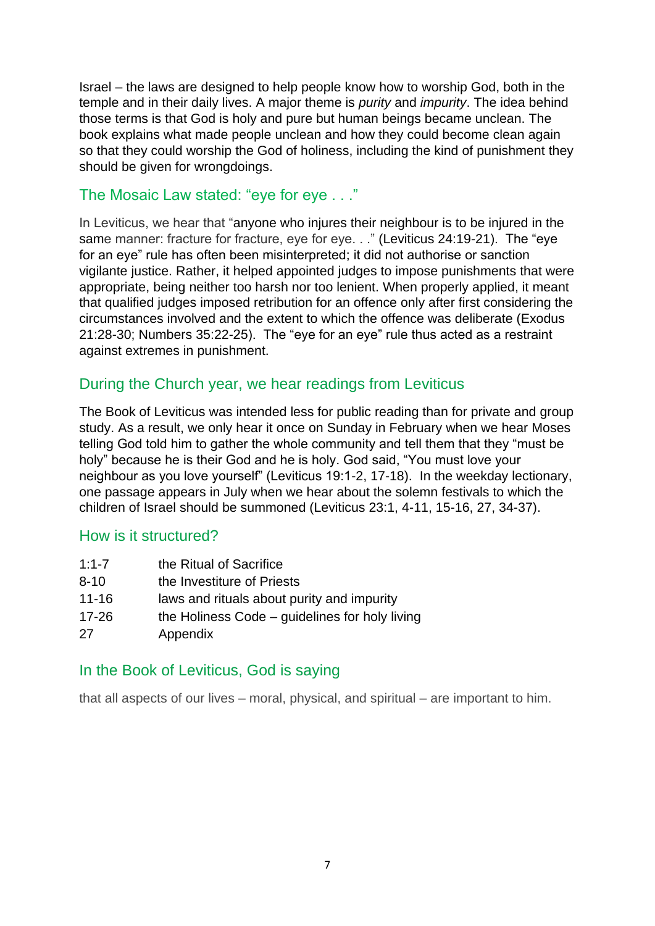Israel – the laws are designed to help people know how to worship God, both in the temple and in their daily lives. A major theme is *purity* and *impurity*. The idea behind those terms is that God is holy and pure but human beings became unclean. The book explains what made people unclean and how they could become clean again so that they could worship the God of holiness, including the kind of punishment they should be given for wrongdoings.

#### The Mosaic Law stated: "eye for eye . . ."

In Leviticus, we hear that "anyone who injures their neighbour is to be injured in the same manner: fracture for fracture, eye for eye. . ." (Leviticus 24:19-21). The "eye for an eye" rule has often been misinterpreted; it did not authorise or sanction vigilante justice. Rather, it helped appointed judges to impose punishments that were appropriate, being neither too harsh nor too lenient. When properly applied, it meant that qualified judges imposed retribution for an offence only after first considering the circumstances involved and the extent to which the offence was deliberate (Exodus 21:28-30; Numbers 35:22-25). The "eye for an eye" rule thus acted as a restraint against extremes in punishment.

### During the Church year, we hear readings from Leviticus

The Book of Leviticus was intended less for public reading than for private and group study. As a result, we only hear it once on Sunday in February when we hear Moses telling God told him to gather the whole community and tell them that they "must be holy" because he is their God and he is holy. God said, "You must love your neighbour as you love yourself" (Leviticus 19:1-2, 17-18). In the weekday lectionary, one passage appears in July when we hear about the solemn festivals to which the children of Israel should be summoned (Leviticus 23:1, 4-11, 15-16, 27, 34-37).

#### How is it structured?

| $1:1 - 7$ | the Ritual of Sacrifice                        |
|-----------|------------------------------------------------|
| $8 - 10$  | the Investiture of Priests                     |
| $11 - 16$ | laws and rituals about purity and impurity     |
| $17 - 26$ | the Holiness Code – guidelines for holy living |
| 27        | Appendix                                       |

#### In the Book of Leviticus, God is saying

that all aspects of our lives – moral, physical, and spiritual – are important to him.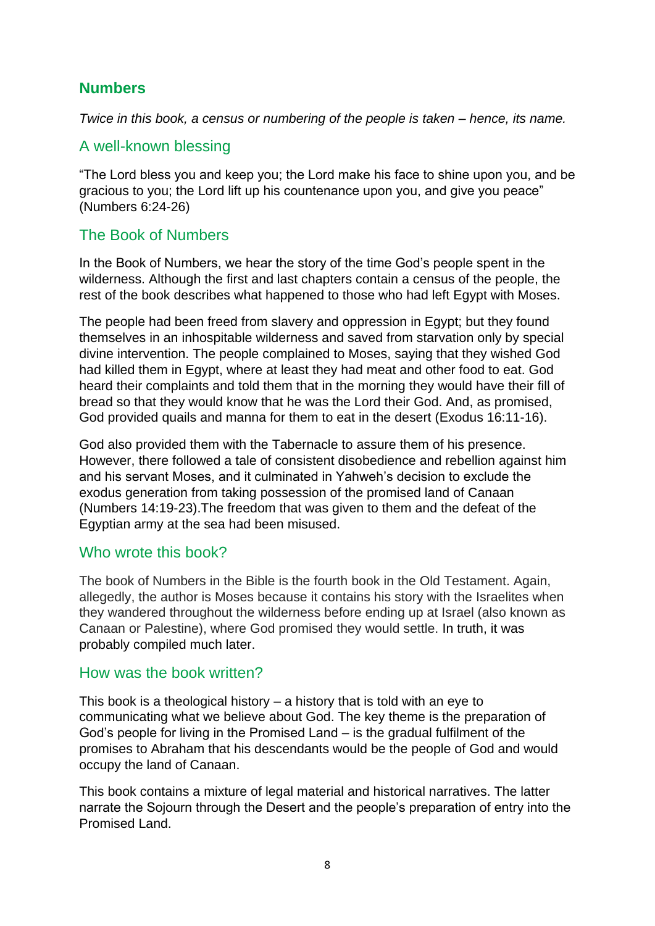# **Numbers**

*Twice in this book, a census or numbering of the people is taken – hence, its name.* 

## A well-known blessing

"The Lord bless you and keep you; the Lord make his face to shine upon you, and be gracious to you; the Lord lift up his countenance upon you, and give you peace" (Numbers 6:24-26)

## The Book of Numbers

In the Book of Numbers, we hear the story of the time God's people spent in the wilderness. Although the first and last chapters contain a census of the people, the rest of the book describes what happened to those who had left Egypt with Moses.

The people had been freed from slavery and oppression in Egypt; but they found themselves in an inhospitable wilderness and saved from starvation only by special divine intervention. The people complained to Moses, saying that they wished God had killed them in Egypt, where at least they had meat and other food to eat. God heard their complaints and told them that in the morning they would have their fill of bread so that they would know that he was the Lord their God. And, as promised, God provided quails and manna for them to eat in the desert (Exodus 16:11-16).

God also provided them with the Tabernacle to assure them of his presence. However, there followed a tale of consistent disobedience and rebellion against him and his servant Moses, and it culminated in Yahweh's decision to exclude the exodus generation from taking possession of the promised land of Canaan (Numbers 14:19-23).The freedom that was given to them and the defeat of the Egyptian army at the sea had been misused.

### Who wrote this book?

The book of Numbers in the Bible is the fourth book in the Old Testament. Again, allegedly, the author is Moses because it contains his story with the Israelites when they wandered throughout the wilderness before ending up at Israel (also known as Canaan or Palestine), where God promised they would settle. In truth, it was probably compiled much later.

#### How was the book written?

This book is a theological history – a history that is told with an eye to communicating what we believe about God. The key theme is the preparation of God's people for living in the Promised Land – is the gradual fulfilment of the promises to Abraham that his descendants would be the people of God and would occupy the land of Canaan.

This book contains a mixture of legal material and historical narratives. The latter narrate the Sojourn through the Desert and the people's preparation of entry into the Promised Land.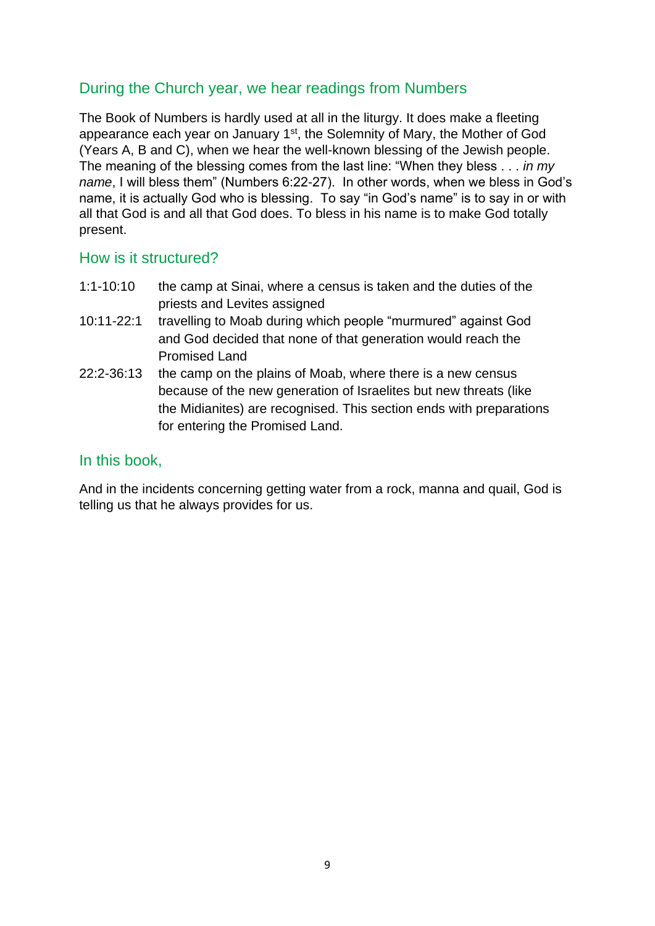# During the Church year, we hear readings from Numbers

The Book of Numbers is hardly used at all in the liturgy. It does make a fleeting appearance each year on January 1<sup>st</sup>, the Solemnity of Mary, the Mother of God (Years A, B and C), when we hear the well-known blessing of the Jewish people. The meaning of the blessing comes from the last line: "When they bless . . . *in my name*, I will bless them" (Numbers 6:22-27). In other words, when we bless in God's name, it is actually God who is blessing. To say "in God's name" is to say in or with all that God is and all that God does. To bless in his name is to make God totally present.

#### How is it structured?

- 1:1-10:10 the camp at Sinai, where a census is taken and the duties of the priests and Levites assigned
- 10:11-22:1 travelling to Moab during which people "murmured" against God and God decided that none of that generation would reach the Promised Land
- 22:2-36:13 the camp on the plains of Moab, where there is a new census because of the new generation of Israelites but new threats (like the Midianites) are recognised. This section ends with preparations for entering the Promised Land.

#### In this book,

And in the incidents concerning getting water from a rock, manna and quail, God is telling us that he always provides for us.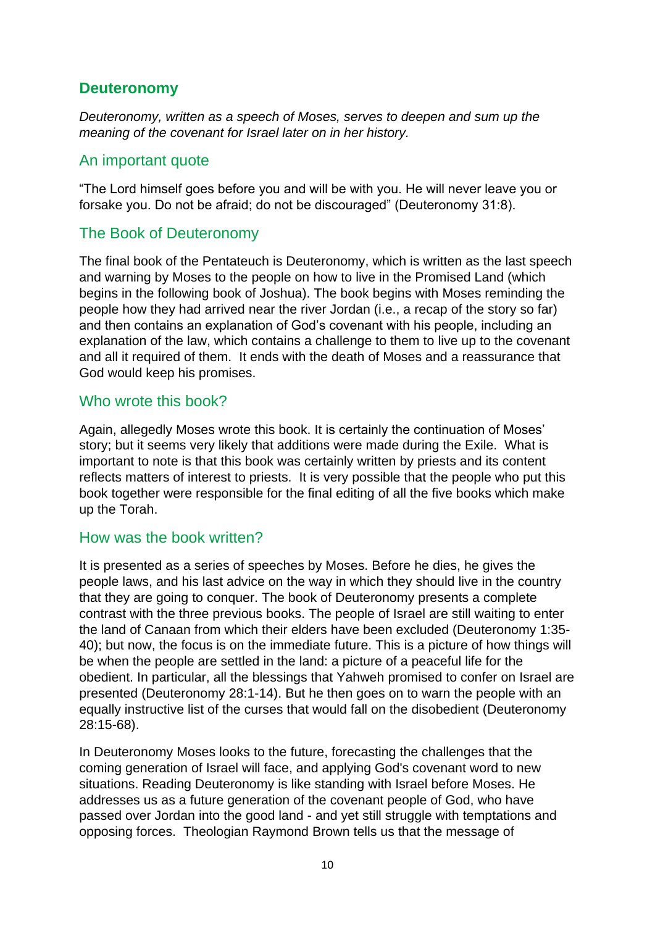### **Deuteronomy**

*Deuteronomy, written as a speech of Moses, serves to deepen and sum up the meaning of the covenant for Israel later on in her history.*

#### An important quote

"The Lord himself goes before you and will be with you. He will never leave you or forsake you. Do not be afraid; do not be discouraged" (Deuteronomy 31:8).

### The Book of Deuteronomy

The final book of the Pentateuch is Deuteronomy, which is written as the last speech and warning by Moses to the people on how to live in the Promised Land (which begins in the following book of Joshua). The book begins with Moses reminding the people how they had arrived near the river Jordan (i.e., a recap of the story so far) and then contains an explanation of God's covenant with his people, including an explanation of the law, which contains a challenge to them to live up to the covenant and all it required of them. It ends with the death of Moses and a reassurance that God would keep his promises.

### Who wrote this book?

Again, allegedly Moses wrote this book. It is certainly the continuation of Moses' story; but it seems very likely that additions were made during the Exile. What is important to note is that this book was certainly written by priests and its content reflects matters of interest to priests. It is very possible that the people who put this book together were responsible for the final editing of all the five books which make up the Torah.

#### How was the book written?

It is presented as a series of speeches by Moses. Before he dies, he gives the people laws, and his last advice on the way in which they should live in the country that they are going to conquer. The book of Deuteronomy presents a complete contrast with the three previous books. The people of Israel are still waiting to enter the land of Canaan from which their elders have been excluded (Deuteronomy 1:35- 40); but now, the focus is on the immediate future. This is a picture of how things will be when the people are settled in the land: a picture of a peaceful life for the obedient. In particular, all the blessings that Yahweh promised to confer on Israel are presented (Deuteronomy 28:1-14). But he then goes on to warn the people with an equally instructive list of the curses that would fall on the disobedient (Deuteronomy 28:15-68).

In Deuteronomy Moses looks to the future, forecasting the challenges that the coming generation of Israel will face, and applying God's covenant word to new situations. Reading Deuteronomy is like standing with Israel before Moses. He addresses us as a future generation of the covenant people of God, who have passed over Jordan into the good land - and yet still struggle with temptations and opposing forces. Theologian Raymond Brown tells us that the message of